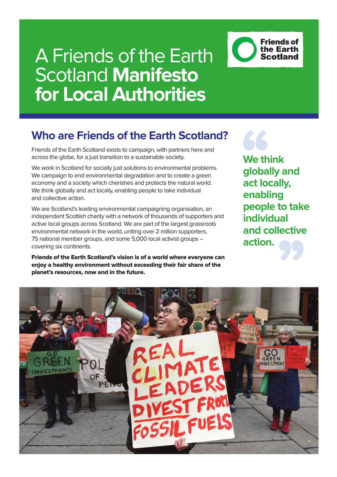### **Who are Friends of the Earth Scotland?**

Friends of the Earth Scotland exists to campaign, with partners here and across the globe, for a just transition to a sustainable society.

We work in Scotland for socially just solutions to environmental problems. We campaign to end environmental degradation and to create a green economy and a society which cherishes and protects the natural world. We think globally and act locally, enabling people to take individual and collective action.

We are Scotland's leading environmental campaigning organisation, an independent Scottish charity with a network of thousands of supporters and active local groups across Scotland. We are part of the largest grassroots environmental network in the world, uniting over 2 million supporters, 75 national member groups, and some 5,000 local activist groups – covering six continents.

**Friends of the Earth Scotland's vision is of a world where everyone can enjoy a healthy environment without exceeding their fair share of the planet's resources, now and in the future.**

### **We think globally and act locally, enabling people to take individual and collective action.**

**Friends of** the Earth **Scotland** 

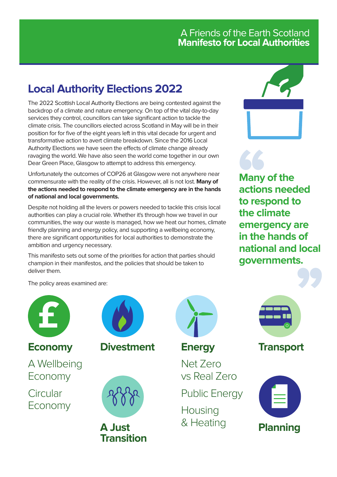### **Local Authority Elections 2022**

The 2022 Scottish Local Authority Elections are being contested against the backdrop of a climate and nature emergency. On top of the vital day-to-day services they control, councillors can take significant action to tackle the climate crisis. The councillors elected across Scotland in May will be in their position for for five of the eight years left in this vital decade for urgent and transformative action to avert climate breakdown. Since the 2016 Local Authority Elections we have seen the effects of climate change already ravaging the world. We have also seen the world come together in our own Dear Green Place, Glasgow to attempt to address this emergency.

Unfortunately the outcomes of COP26 at Glasgow were not anywhere near commensurate with the reality of the crisis. However, all is not lost. **Many of the actions needed to respond to the climate emergency are in the hands of national and local governments.**

Despite not holding all the levers or powers needed to tackle this crisis local authorities can play a crucial role. Whether it's through how we travel in our communities, the way our waste is managed, how we heat our homes, climate friendly planning and energy policy, and supporting a wellbeing economy, there are significant opportunities for local authorities to demonstrate the ambition and urgency necessary.

This manifesto sets out some of the priorities for action that parties should champion in their manifestos, and the policies that should be taken to deliver them.



**Many of the actions needed to respond to the climate emergency are in the hands of national and local governments.**

The policy areas examined are:







**A Just Transition**



**Energy**

Net Zero vs Real Zero

Public Energy

**Housing** & Heating



**Transport**

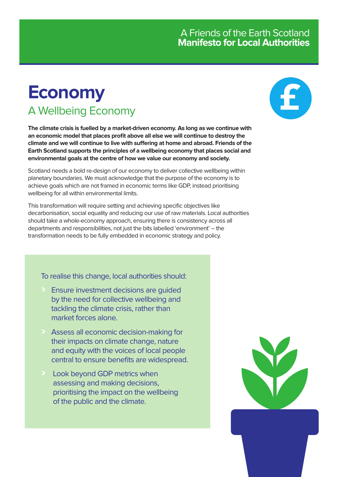### **Economy** A Wellbeing Economy

**The climate crisis is fuelled by a market-driven economy. As long as we continue with an economic model that places profit above all else we will continue to destroy the climate and we will continue to live with suffering at home and abroad. Friends of the Earth Scotland supports the principles of a wellbeing economy that places social and environmental goals at the centre of how we value our economy and society.**

Scotland needs a bold re-design of our economy to deliver collective wellbeing within planetary boundaries. We must acknowledge that the purpose of the economy is to achieve goals which are not framed in economic terms like GDP, instead prioritising wellbeing for all within environmental limits.

This transformation will require setting and achieving specific objectives like decarbonisation, social equality and reducing our use of raw materials. Local authorities should take a whole-economy approach, ensuring there is consistency across all departments and responsibilities, not just the bits labelled 'environment' – the transformation needs to be fully embedded in economic strategy and policy.

To realise this change, local authorities should:

- **>** Ensure investment decisions are guided by the need for collective wellbeing and tackling the climate crisis, rather than market forces alone.
- **>** Assess all economic decision-making for their impacts on climate change, nature and equity with the voices of local people central to ensure benefits are widespread.
- **>** Look beyond GDP metrics when assessing and making decisions, prioritising the impact on the wellbeing of the public and the climate.



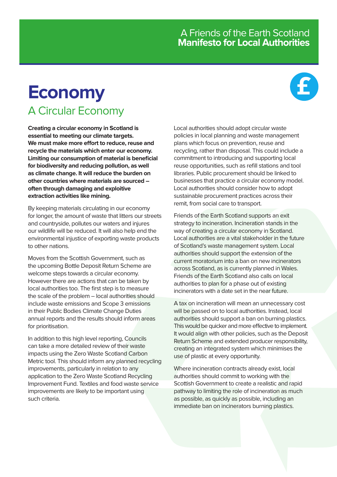# **£**

### **Economy** A Circular Economy

**Creating a circular economy in Scotland is essential to meeting our climate targets. We must make more effort to reduce, reuse and recycle the materials which enter our economy. Limiting our consumption of material is beneficial for biodiversity and reducing pollution, as well as climate change. It will reduce the burden on other countries where materials are sourced – often through damaging and exploitive extraction activities like mining.**

By keeping materials circulating in our economy for longer, the amount of waste that litters our streets and countryside, pollutes our waters and injures our wildlife will be reduced. It will also help end the environmental injustice of exporting waste products to other nations.

Moves from the Scottish Government, such as the upcoming Bottle Deposit Return Scheme are welcome steps towards a circular economy. However there are actions that can be taken by local authorities too. The first step is to measure the scale of the problem – local authorities should include waste emissions and Scope 3 emissions in their Public Bodies Climate Change Duties annual reports and the results should inform areas for prioritisation.

In addition to this high level reporting, Councils can take a more detailed review of their waste impacts using the Zero Waste Scotland Carbon Metric tool. This should inform any planned recycling improvements, particularly in relation to any application to the Zero Waste Scotland Recycling Improvement Fund. Textiles and food waste service improvements are likely to be important using such criteria.

Local authorities should adopt circular waste policies in local planning and waste management plans which focus on prevention, reuse and recycling, rather than disposal. This could include a commitment to introducing and supporting local reuse opportunities, such as refill stations and tool libraries. Public procurement should be linked to businesses that practice a circular economy model. Local authorities should consider how to adopt sustainable procurement practices across their remit, from social care to transport.

Friends of the Earth Scotland supports an exit strategy to incineration. Incineration stands in the way of creating a circular economy in Scotland. Local authorities are a vital stakeholder in the future of Scotland's waste management system. Local authorities should support the extension of the current moratorium into a ban on new incinerators across Scotland, as is currently planned in Wales. Friends of the Earth Scotland also calls on local authorities to plan for a phase out of existing incinerators with a date set in the near future.

A tax on incineration will mean an unnecessary cost will be passed on to local authorities. Instead, local authorities should support a ban on burning plastics. This would be quicker and more effective to implement. It would align with other policies, such as the Deposit Return Scheme and extended producer responsibility, creating an integrated system which minimises the use of plastic at every opportunity.

Where incineration contracts already exist, local authorities should commit to working with the Scottish Government to create a realistic and rapid pathway to limiting the role of incineration as much as possible, as quickly as possible, including an immediate ban on incinerators burning plastics.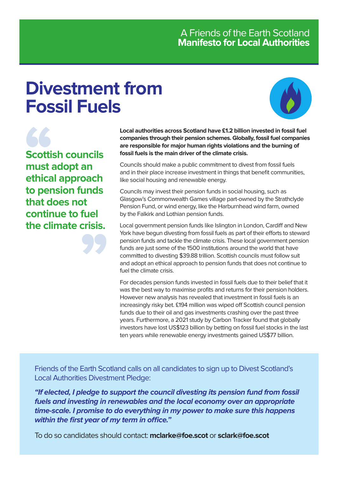# **Divestment from Fossil Fuels**



**Scottish councils must adopt an ethical approach to pension funds that does not continue to fuel the climate crisis.** **Local authorities across Scotland have £1.2 billion invested in fossil fuel companies through their pension schemes. Globally, fossil fuel companies are responsible for major human rights violations and the burning of fossil fuels is the main driver of the climate crisis.**

Councils should make a public commitment to divest from fossil fuels and in their place increase investment in things that benefit communities, like social housing and renewable energy.

Councils may invest their pension funds in social housing, such as Glasgow's Commonwealth Games village part-owned by the Strathclyde Pension Fund, or wind energy, like the Harburnhead wind farm, owned by the Falkirk and Lothian pension funds.

Local government pension funds like Islington in London, Cardiff and New York have begun divesting from fossil fuels as part of their efforts to steward pension funds and tackle the climate crisis. These local government pension funds are just some of the 1500 institutions around the world that have committed to divesting \$39.88 trillion. Scottish councils must follow suit and adopt an ethical approach to pension funds that does not continue to fuel the climate crisis.

For decades pension funds invested in fossil fuels due to their belief that it was the best way to maximise profits and returns for their pension holders. However new analysis has revealed that investment in fossil fuels is an increasingly risky bet. £194 million was wiped off Scottish council pension funds due to their oil and gas investments crashing over the past three years. Furthermore, a 2021 study by Carbon Tracker found that globally investors have lost US\$123 billion by betting on fossil fuel stocks in the last ten years while renewable energy investments gained US\$77 billion.

Friends of the Earth Scotland calls on all candidates to sign up to Divest Scotland's Local Authorities Divestment Pledge:

**"If elected, I pledge to support the council divesting its pension fund from fossil fuels and investing in renewables and the local economy over an appropriate time-scale. I promise to do everything in my power to make sure this happens within the first year of my term in office."**

To do so candidates should contact: **mclarke@foe.scot** or **sclark@foe.scot**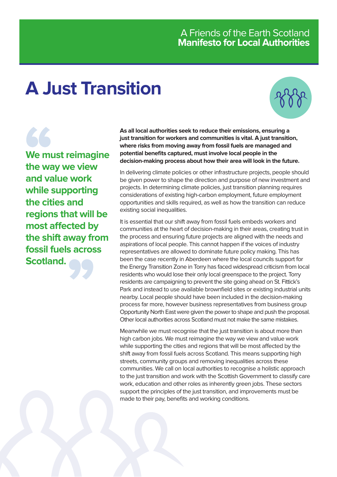# **A Just Transition**



**We must reimagine the way we view and value work while supporting the cities and regions that will be most affected by the shift away from fossil fuels across Scotland.**

**As all local authorities seek to reduce their emissions, ensuring a just transition for workers and communities is vital. A just transition, where risks from moving away from fossil fuels are managed and potential benefits captured, must involve local people in the decision-making process about how their area will look in the future.**

In delivering climate policies or other infrastructure projects, people should be given power to shape the direction and purpose of new investment and projects. In determining climate policies, just transition planning requires considerations of existing high-carbon employment, future employment opportunities and skills required, as well as how the transition can reduce existing social inequalities.

It is essential that our shift away from fossil fuels embeds workers and communities at the heart of decision-making in their areas, creating trust in the process and ensuring future projects are aligned with the needs and aspirations of local people. This cannot happen if the voices of industry representatives are allowed to dominate future policy making. This has been the case recently in Aberdeen where the local councils support for the Energy Transition Zone in Torry has faced widespread criticism from local residents who would lose their only local greenspace to the project. Torry residents are campaigning to prevent the site going ahead on St. Fittick's Park and instead to use available brownfield sites or existing industrial units nearby. Local people should have been included in the decision-making process far more, however business representatives from business group Opportunity North East were given the power to shape and push the proposal. Other local authorities across Scotland must not make the same mistakes.

Meanwhile we must recognise that the just transition is about more than high carbon jobs. We must reimagine the way we view and value work while supporting the cities and regions that will be most affected by the shift away from fossil fuels across Scotland. This means supporting high streets, community groups and removing inequalities across these communities. We call on local authorities to recognise a holistic approach to the just transition and work with the Scottish Government to classify care work, education and other roles as inherently green jobs. These sectors support the principles of the just transition, and improvements must be made to their pay, benefits and working conditions.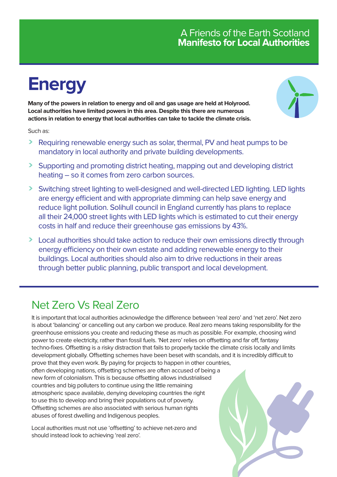# **Energy**

**Many of the powers in relation to energy and oil and gas usage are held at Holyrood. Local authorities have limited powers in this area. Despite this there are numerous actions in relation to energy that local authorities can take to tackle the climate crisis.**



Such as:

- **>** Requiring renewable energy such as solar, thermal, PV and heat pumps to be mandatory in local authority and private building developments.
- **>** Supporting and promoting district heating, mapping out and developing district heating – so it comes from zero carbon sources.
- **>** Switching street lighting to well-designed and well-directed LED lighting. LED lights are energy efficient and with appropriate dimming can help save energy and reduce light pollution. Solihull council in England currently has plans to replace all their 24,000 street lights with LED lights which is estimated to cut their energy costs in half and reduce their greenhouse gas emissions by 43%.
- **>** Local authorities should take action to reduce their own emissions directly through energy efficiency on their own estate and adding renewable energy to their buildings. Local authorities should also aim to drive reductions in their areas through better public planning, public transport and local development.

### Net Zero Vs Real Zero

It is important that local authorities acknowledge the difference between 'real zero' and 'net zero'. Net zero is about 'balancing' or cancelling out any carbon we produce. Real zero means taking responsibility for the greenhouse emissions you create and reducing these as much as possible. For example, choosing wind power to create electricity, rather than fossil fuels. 'Net zero' relies on offsetting and far off, fantasy techno-fixes. Offsetting is a risky distraction that fails to properly tackle the climate crisis locally and limits development globally. Offsetting schemes have been beset with scandals, and it is incredibly difficult to prove that they even work. By paying for projects to happen in other countries, often developing nations, offsetting schemes are often accused of being a new form of colonialism. This is because offsetting allows industrialised countries and big polluters to continue using the little remaining atmospheric space available, denying developing countries the right to use this to develop and bring their populations out of poverty. Offsetting schemes are also associated with serious human rights abuses of forest dwelling and Indigenous peoples.

Local authorities must not use 'offsetting' to achieve net-zero and should instead look to achieving 'real zero'.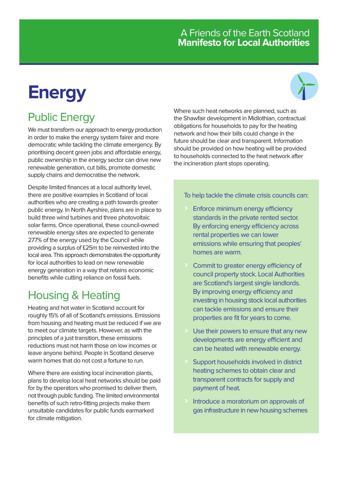# **Energy**

### Public Energy

We must transform our approach to energy production in order to make the energy system fairer and more democratic while tackling the climate emergency. By prioritising decent green jobs and affordable energy, public ownership in the energy sector can drive new renewable generation, cut bills, promote domestic supply chains and democratise the network.

Despite limited finances at a local authority level, there are positive examples in Scotland of local authorities who are creating a path towards greater public energy. In North Ayrshire, plans are in place to build three wind turbines and three photovoltaic solar farms. Once operational, these council-owned renewable energy sites are expected to generate 277% of the energy used by the Council while providing a surplus of £25m to be reinvested into the local area. This approach demonstrates the opportunity for local authorities to lead on new renewable energy generation in a way that retains economic benefits while cutting reliance on fossil fuels.

### Housing & Heating

Heating and hot water in Scotland account for roughly 15% of all of Scotland's emissions. Emissions from housing and heating must be reduced if we are to meet our climate targets. However, as with the principles of a just transition, these emissions reductions must not harm those on low incomes or leave anyone behind. People in Scotland deserve warm homes that do not cost a fortune to run.

Where there are existing local incineration plants, plans to develop local heat networks should be paid for by the operators who promised to deliver them, not through public funding. The limited environmental benefits of such retro-fitting projects make them unsuitable candidates for public funds earmarked for climate mitigation.

Where such heat networks are planned, such as the Shawfair development in Midlothian, contractual obligations for households to pay for the heating network and how their bills could change in the future should be clear and transparent. Information should be provided on how heating will be provided to households connected to the heat network after the incineration plant stops operating.

#### To help tackle the climate crisis councils can:

- **>** Enforce minimum energy efficiency standards in the private rented sector. By enforcing energy efficiency across rental properties we can lower emissions while ensuring that peoples' homes are warm.
- **>** Commit to greater energy efficiency of council property stock. Local Authorities are Scotland's largest single landlords. By improving energy efficiency and investing in housing stock local authorities can tackle emissions and ensure their properties are fit for years to come.
- Use their powers to ensure that any new developments are energy efficient and can be heated with renewable energy.
- **>** Support households involved in district heating schemes to obtain clear and transparent contracts for supply and payment of heat.
- **>** Introduce a moratorium on approvals of gas infrastructure in new housing schemes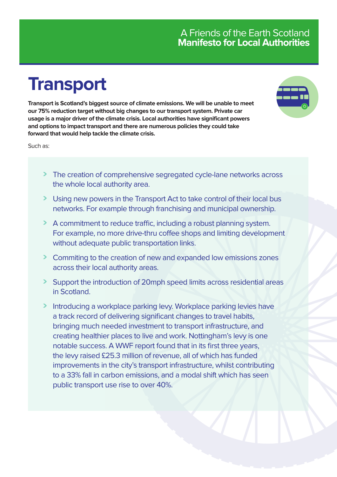# **Transport**

**Transport is Scotland's biggest source of climate emissions. We will be unable to meet our 75% reduction target without big changes to our transport system. Private car usage is a major driver of the climate crisis. Local authorities have significant powers and options to impact transport and there are numerous policies they could take forward that would help tackle the climate crisis.**

Such as:

- **>** The creation of comprehensive segregated cycle-lane networks across the whole local authority area.
- **>** Using new powers in the Transport Act to take control of their local bus networks. For example through franchising and municipal ownership.
- **>** A commitment to reduce traffic, including a robust planning system. For example, no more drive-thru coffee shops and limiting development without adequate public transportation links.
- **>** Commiting to the creation of new and expanded low emissions zones across their local authority areas.
- **>** Support the introduction of 20mph speed limits across residential areas in Scotland.
- **>** Introducing a workplace parking levy. Workplace parking levies have a track record of delivering significant changes to travel habits, bringing much needed investment to transport infrastructure, and creating healthier places to live and work. Nottingham's levy is one notable success. A WWF report found that in its first three years, the levy raised £25.3 million of revenue, all of which has funded improvements in the city's transport infrastructure, whilst contributing to a 33% fall in carbon emissions, and a modal shift which has seen public transport use rise to over 40%.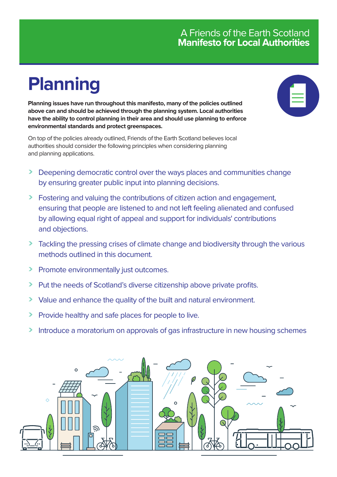# **Planning**

**Planning issues have run throughout this manifesto, many of the policies outlined above can and should be achieved through the planning system. Local authorities have the ability to control planning in their area and should use planning to enforce environmental standards and protect greenspaces.**

On top of the policies already outlined, Friends of the Earth Scotland believes local authorities should consider the following principles when considering planning and planning applications.

- **>** Deepening democratic control over the ways places and communities change by ensuring greater public input into planning decisions.
- **>** Fostering and valuing the contributions of citizen action and engagement, ensuring that people are listened to and not left feeling alienated and confused by allowing equal right of appeal and support for individuals' contributions and objections.
- **>** Tackling the pressing crises of climate change and biodiversity through the various methods outlined in this document.
- **>** Promote environmentally just outcomes.
- **>** Put the needs of Scotland's diverse citizenship above private profits.
- **>** Value and enhance the quality of the built and natural environment.
- **>** Provide healthy and safe places for people to live.
- **>** Introduce a moratorium on approvals of gas infrastructure in new housing schemes